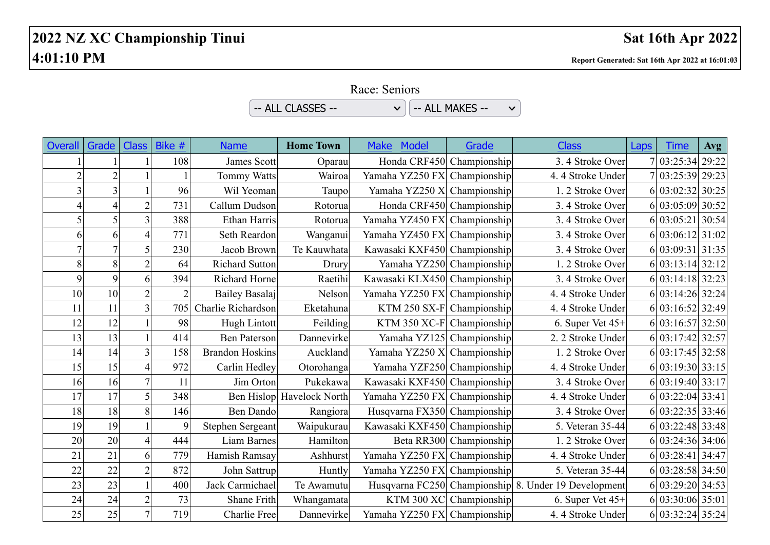## **2022 NZ XC Championship Tinui Sat 16th Apr 2022 4:01:10 PM Report Generated: Sat 16th Apr 2022 at 16:01:03**

Race: Seniors

 $\sim$  ALL CLASSES --  $\sim$   $\sim$   $\sim$   $\sim$  ALL MAKES -- $\checkmark$ 

| <b>Overall</b> | Grade          | <b>Class</b>   | Bike #         | <b>Name</b>            | <b>Home Town</b>          | <b>Make</b><br><b>Model</b>  | Grade                   | <b>Class</b>                                         | Laps | Time             | Avg |
|----------------|----------------|----------------|----------------|------------------------|---------------------------|------------------------------|-------------------------|------------------------------------------------------|------|------------------|-----|
|                |                |                | 108            | James Scott            | Oparau                    | Honda CRF450 Championship    |                         | 3.4 Stroke Over                                      |      | 7 03:25:34 29:22 |     |
| $\overline{2}$ | $\overline{c}$ |                |                | <b>Tommy Watts</b>     | Wairoa                    | Yamaha YZ250 FX Championship |                         | 4.4 Stroke Under                                     |      | 7 03:25:39 29:23 |     |
|                | 3              |                | 96             | Wil Yeoman             | Taupo                     | Yamaha YZ250 X Championship  |                         | 1.2 Stroke Over                                      |      | 6 03:02:32 30:25 |     |
|                |                | $\overline{2}$ | 731            | Callum Dudson          | Rotorua                   | Honda CRF450 Championship    |                         | 3.4 Stroke Over                                      |      | 6 03:05:09 30:52 |     |
| 5              | 5              | $\overline{3}$ | 388            | Ethan Harris           | Rotorua                   | Yamaha YZ450 FX Championship |                         | 3.4 Stroke Over                                      |      | 6 03:05:21 30:54 |     |
| 6              | 6              | 4              | 771            | Seth Reardon           | Wanganui                  | Yamaha YZ450 FX Championship |                         | 3.4 Stroke Over                                      |      | 6 03:06:12 31:02 |     |
| $\overline{7}$ | $\overline{7}$ | 5              | 230            | Jacob Brown            | Te Kauwhata               | Kawasaki KXF450 Championship |                         | 3.4 Stroke Over                                      |      | 6 03:09:31 31:35 |     |
| 8              | 8              | $\overline{c}$ | 64             | <b>Richard Sutton</b>  | Drury                     | Yamaha YZ250 Championship    |                         | 1.2 Stroke Over                                      |      | 6 03:13:14 32:12 |     |
| 9              | 9              | 6              | 394            | Richard Horne          | Raetihi                   | Kawasaki KLX450 Championship |                         | 3.4 Stroke Over                                      |      | 6 03:14:18 32:23 |     |
| 10             | 10             | $\overline{2}$ | $\overline{2}$ | Bailey Basalaj         | Nelson                    | Yamaha YZ250 FX Championship |                         | 4.4 Stroke Under                                     |      | 6 03:14:26 32:24 |     |
| 11             | 11             | 3              | 705            | Charlie Richardson     | Eketahuna                 | KTM 250 SX-F Championship    |                         | 4.4 Stroke Under                                     |      | 6 03:16:52 32:49 |     |
| 12             | 12             |                | 98             | Hugh Lintott           | Feilding                  | KTM 350 $XC-F$ Championship  |                         | 6. Super Vet 45+                                     |      | 6 03:16:57 32:50 |     |
| 13             | 13             |                | 414            | <b>Ben Paterson</b>    | Dannevirke                | Yamaha YZ125 Championship    |                         | 2. 2 Stroke Under                                    |      | 6 03:17:42 32:57 |     |
| 14             | 14             | 3 <sup>1</sup> | 158            | <b>Brandon Hoskins</b> | Auckland                  | Yamaha YZ250 X Championship  |                         | 1.2 Stroke Over                                      |      | 6 03:17:45 32:58 |     |
| 15             | 15             | 4              | 972            | Carlin Hedley          | Otorohanga                | Yamaha YZF250 Championship   |                         | 4.4 Stroke Under                                     |      | 6 03:19:30 33:15 |     |
| 16             | 16             | $\overline{7}$ | 11             | Jim Orton              | Pukekawa                  | Kawasaki KXF450 Championship |                         | 3.4 Stroke Over                                      |      | 6 03:19:40 33:17 |     |
| 17             | 17             | 5              | 348            |                        | Ben Hislop Havelock North | Yamaha YZ250 FX Championship |                         | 4.4 Stroke Under                                     |      | 6 03:22:04 33:41 |     |
| 18             | 18             | 8              | 146            | <b>Ben Dando</b>       | Rangiora                  | Husqvarna FX350 Championship |                         | 3.4 Stroke Over                                      |      | 6 03:22:35 33:46 |     |
| 19             | 19             |                | 9              | Stephen Sergeant       | Waipukurau                | Kawasaki KXF450 Championship |                         | 5. Veteran 35-44                                     |      | 6 03:22:48 33:48 |     |
| 20             | 20             | 4              | 444            | Liam Barnes            | Hamilton                  |                              | Beta RR300 Championship | 1.2 Stroke Over                                      |      | 6 03:24:36 34:06 |     |
| 21             | 21             | 6              | 779            | Hamish Ramsay          | Ashhurst                  | Yamaha YZ250 FX Championship |                         | 4.4 Stroke Under                                     |      | 6 03:28:41 34:47 |     |
| 22             | 22             | $\overline{2}$ | 872            | John Sattrup           | Huntly                    | Yamaha YZ250 FX Championship |                         | 5. Veteran 35-44                                     |      | 6 03:28:58 34:50 |     |
| 23             | 23             |                | 400            | Jack Carmichael        | Te Awamutu                |                              |                         | Husqvarna FC250 Championship 8. Under 19 Development |      | 6 03:29:20 34:53 |     |
| 24             | 24             | $\overline{c}$ | 73             | Shane Frith            | Whangamata                |                              | KTM 300 XC Championship | 6. Super Vet 45+                                     |      | 6 03:30:06 35:01 |     |
| 25             | 25             | $\overline{7}$ | 719            | Charlie Free           | Dannevirke                | Yamaha YZ250 FX Championship |                         | 4.4 Stroke Under                                     |      | 6 03:32:24 35:24 |     |